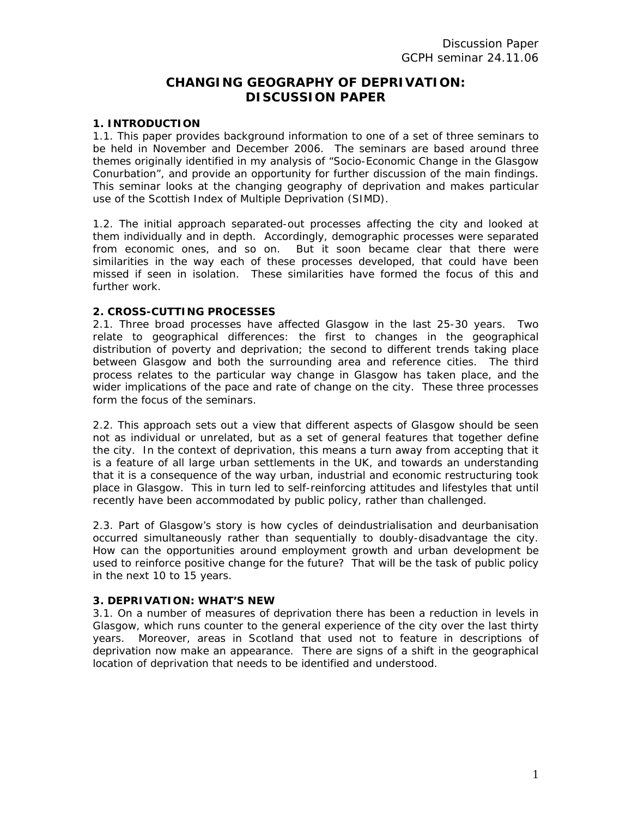# **CHANGING GEOGRAPHY OF DEPRIVATION: DISCUSSION PAPER**

## **1. INTRODUCTION**

1.1. This paper provides background information to one of a set of three seminars to be held in November and December 2006. The seminars are based around three themes originally identified in my analysis of "Socio-Economic Change in the Glasgow Conurbation", and provide an opportunity for further discussion of the main findings. This seminar looks at the changing geography of deprivation and makes particular use of the Scottish Index of Multiple Deprivation (SIMD).

1.2. The initial approach separated-out processes affecting the city and looked at them individually and in depth. Accordingly, demographic processes were separated from economic ones, and so on. But it soon became clear that there were similarities in the way each of these processes developed, that could have been missed if seen in isolation. These similarities have formed the focus of this and further work.

## **2. CROSS-CUTTING PROCESSES**

2.1. Three broad processes have affected Glasgow in the last 25-30 years. Two relate to geographical differences: the first to changes in the geographical distribution of poverty and deprivation; the second to different trends taking place between Glasgow and both the surrounding area and reference cities. The third process relates to the particular way change in Glasgow has taken place, and the wider implications of the pace and rate of change on the city. These three processes form the focus of the seminars.

2.2. This approach sets out a view that different aspects of Glasgow should be seen not as individual or unrelated, but as a set of general features that together define the city. In the context of deprivation, this means a turn away from accepting that it is a feature of all large urban settlements in the UK, and towards an understanding that it is a consequence of the way urban, industrial and economic restructuring took place in Glasgow. This in turn led to self-reinforcing attitudes and lifestyles that until recently have been accommodated by public policy, rather than challenged.

2.3. Part of Glasgow's story is how cycles of deindustrialisation and deurbanisation occurred simultaneously rather than sequentially to doubly-disadvantage the city. How can the opportunities around employment growth and urban development be used to reinforce positive change for the future? That will be the task of public policy in the next 10 to 15 years.

# **3. DEPRIVATION: WHAT'S NEW**

3.1. On a number of measures of deprivation there has been a reduction in levels in Glasgow, which runs counter to the general experience of the city over the last thirty years. Moreover, areas in Scotland that used not to feature in descriptions of deprivation now make an appearance. There are signs of a shift in the geographical location of deprivation that needs to be identified and understood.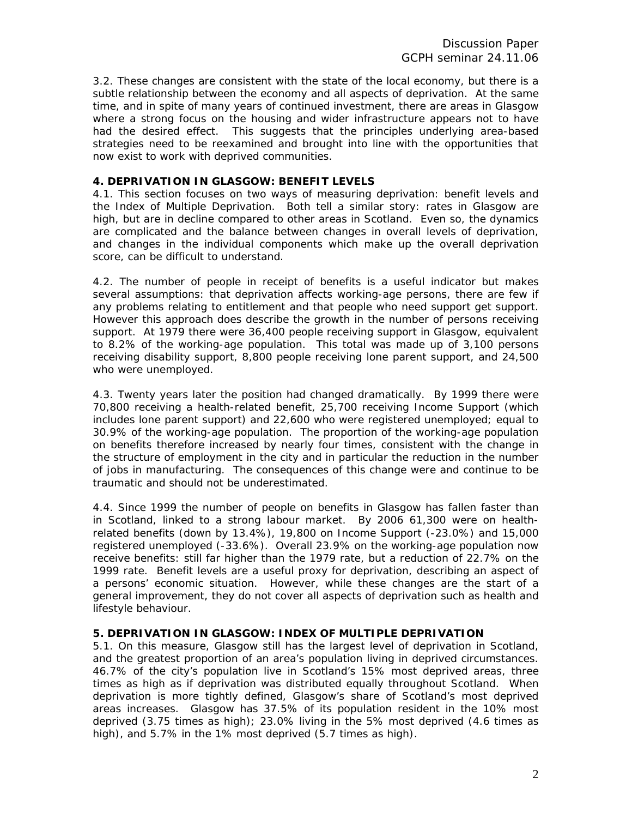3.2. These changes are consistent with the state of the local economy, but there is a subtle relationship between the economy and all aspects of deprivation. At the same time, and in spite of many years of continued investment, there are areas in Glasgow where a strong focus on the housing and wider infrastructure appears not to have had the desired effect. This suggests that the principles underlying area-based strategies need to be reexamined and brought into line with the opportunities that now exist to work with deprived communities.

# **4. DEPRIVATION IN GLASGOW: BENEFIT LEVELS**

4.1. This section focuses on two ways of measuring deprivation: benefit levels and the Index of Multiple Deprivation. Both tell a similar story: rates in Glasgow are high, but are in decline compared to other areas in Scotland. Even so, the dynamics are complicated and the balance between changes in overall levels of deprivation, and changes in the individual components which make up the overall deprivation score, can be difficult to understand.

4.2. The number of people in receipt of benefits is a useful indicator but makes several assumptions: that deprivation affects working-age persons, there are few if any problems relating to entitlement and that people who need support get support. However this approach does describe the growth in the number of persons receiving support. At 1979 there were 36,400 people receiving support in Glasgow, equivalent to 8.2% of the working-age population. This total was made up of 3,100 persons receiving disability support, 8,800 people receiving lone parent support, and 24,500 who were unemployed.

4.3. Twenty years later the position had changed dramatically. By 1999 there were 70,800 receiving a health-related benefit, 25,700 receiving Income Support (which includes lone parent support) and 22,600 who were registered unemployed; equal to 30.9% of the working-age population. The proportion of the working-age population on benefits therefore increased by nearly four times, consistent with the change in the structure of employment in the city and in particular the reduction in the number of jobs in manufacturing. The consequences of this change were and continue to be traumatic and should not be underestimated.

4.4. Since 1999 the number of people on benefits in Glasgow has fallen faster than in Scotland, linked to a strong labour market. By 2006 61,300 were on healthrelated benefits (down by 13.4%), 19,800 on Income Support (-23.0%) and 15,000 registered unemployed (-33.6%). Overall 23.9% on the working-age population now receive benefits: still far higher than the 1979 rate, but a reduction of 22.7% on the 1999 rate. Benefit levels are a useful proxy for deprivation, describing an aspect of a persons' economic situation. However, while these changes are the start of a general improvement, they do not cover all aspects of deprivation such as health and lifestyle behaviour.

# **5. DEPRIVATION IN GLASGOW: INDEX OF MULTIPLE DEPRIVATION**

5.1. On this measure, Glasgow still has the largest level of deprivation in Scotland, and the greatest proportion of an area's population living in deprived circumstances. 46.7% of the city's population live in Scotland's 15% most deprived areas, three times as high as if deprivation was distributed equally throughout Scotland. When deprivation is more tightly defined, Glasgow's share of Scotland's most deprived areas increases. Glasgow has 37.5% of its population resident in the 10% most deprived (3.75 times as high); 23.0% living in the 5% most deprived (4.6 times as high), and 5.7% in the 1% most deprived (5.7 times as high).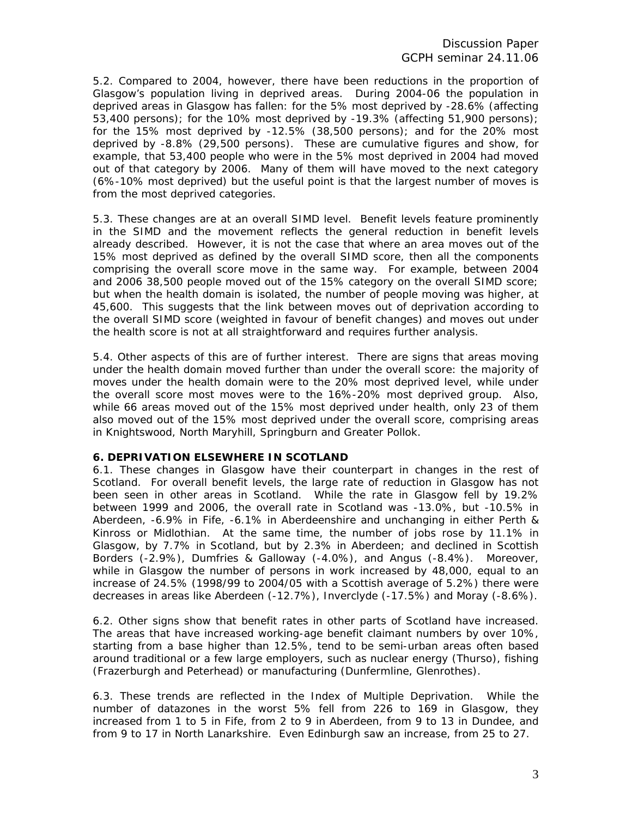5.2. Compared to 2004, however, there have been reductions in the proportion of Glasgow's population living in deprived areas. During 2004-06 the population in deprived areas in Glasgow has fallen: for the 5% most deprived by -28.6% (affecting 53,400 persons); for the 10% most deprived by -19.3% (affecting 51,900 persons); for the 15% most deprived by -12.5% (38,500 persons); and for the 20% most deprived by -8.8% (29,500 persons). These are cumulative figures and show, for example, that 53,400 people who were in the 5% most deprived in 2004 had moved out of that category by 2006. Many of them will have moved to the next category (6%-10% most deprived) but the useful point is that the largest number of moves is from the most deprived categories.

5.3. These changes are at an overall SIMD level. Benefit levels feature prominently in the SIMD and the movement reflects the general reduction in benefit levels already described. However, it is not the case that where an area moves out of the 15% most deprived as defined by the overall SIMD score, then all the components comprising the overall score move in the same way. For example, between 2004 and 2006 38,500 people moved out of the 15% category on the overall SIMD score; but when the health domain is isolated, the number of people moving was higher, at 45,600. This suggests that the link between moves out of deprivation according to the overall SIMD score (weighted in favour of benefit changes) and moves out under the health score is not at all straightforward and requires further analysis.

5.4. Other aspects of this are of further interest. There are signs that areas moving under the health domain moved further than under the overall score: the majority of moves under the health domain were to the 20% most deprived level, while under the overall score most moves were to the 16%-20% most deprived group. Also, while 66 areas moved out of the 15% most deprived under health, only 23 of them also moved out of the 15% most deprived under the overall score, comprising areas in Knightswood, North Maryhill, Springburn and Greater Pollok.

#### **6. DEPRIVATION ELSEWHERE IN SCOTLAND**

6.1. These changes in Glasgow have their counterpart in changes in the rest of Scotland. For overall benefit levels, the large rate of reduction in Glasgow has not been seen in other areas in Scotland. While the rate in Glasgow fell by 19.2% between 1999 and 2006, the overall rate in Scotland was -13.0%, but -10.5% in Aberdeen, -6.9% in Fife, -6.1% in Aberdeenshire and unchanging in either Perth & Kinross or Midlothian. At the same time, the number of jobs rose by 11.1% in Glasgow, by 7.7% in Scotland, but by 2.3% in Aberdeen; and declined in Scottish Borders (-2.9%), Dumfries & Galloway (-4.0%), and Angus (-8.4%). Moreover, while in Glasgow the number of persons in work increased by 48,000, equal to an increase of 24.5% (1998/99 to 2004/05 with a Scottish average of 5.2%) there were decreases in areas like Aberdeen (-12.7%), Inverclyde (-17.5%) and Moray (-8.6%).

6.2. Other signs show that benefit rates in other parts of Scotland have increased. The areas that have increased working-age benefit claimant numbers by over 10%, starting from a base higher than 12.5%, tend to be semi-urban areas often based around traditional or a few large employers, such as nuclear energy (Thurso), fishing (Frazerburgh and Peterhead) or manufacturing (Dunfermline, Glenrothes).

6.3. These trends are reflected in the Index of Multiple Deprivation. While the number of datazones in the worst 5% fell from 226 to 169 in Glasgow, they increased from 1 to 5 in Fife, from 2 to 9 in Aberdeen, from 9 to 13 in Dundee, and from 9 to 17 in North Lanarkshire. Even Edinburgh saw an increase, from 25 to 27.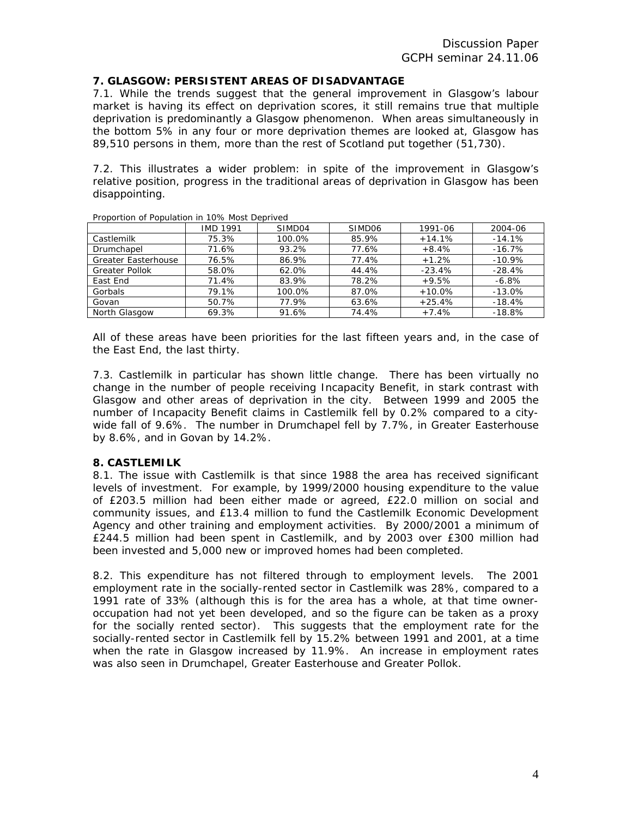# **7. GLASGOW: PERSISTENT AREAS OF DISADVANTAGE**

7.1. While the trends suggest that the general improvement in Glasgow's labour market is having its effect on deprivation scores, it still remains true that multiple deprivation is predominantly a Glasgow phenomenon. When areas simultaneously in the bottom 5% in any four or more deprivation themes are looked at, Glasgow has 89,510 persons in them, more than the rest of Scotland put together (51,730).

7.2. This illustrates a wider problem: in spite of the improvement in Glasgow's relative position, progress in the traditional areas of deprivation in Glasgow has been disappointing.

|                            | <b>IMD 1991</b> | SIMD04 | SIMD <sub>06</sub> | 1991-06  | 2004-06  |
|----------------------------|-----------------|--------|--------------------|----------|----------|
| Castlemilk                 | 75.3%           | 100.0% | 85.9%              | $+14.1%$ | $-14.1%$ |
| Drumchapel                 | 71.6%           | 93.2%  | 77.6%              | $+8.4%$  | $-16.7%$ |
| <b>Greater Easterhouse</b> | 76.5%           | 86.9%  | 77.4%              | $+1.2%$  | $-10.9%$ |
| <b>Greater Pollok</b>      | 58.0%           | 62.0%  | 44.4%              | $-23.4%$ | $-28.4%$ |
| East End                   | 71.4%           | 83.9%  | 78.2%              | $+9.5%$  | $-6.8%$  |
| Gorbals                    | 79.1%           | 100.0% | 87.0%              | $+10.0%$ | $-13.0%$ |
| Govan                      | 50.7%           | 77.9%  | 63.6%              | $+25.4%$ | $-18.4%$ |
| North Glasgow              | 69.3%           | 91.6%  | 74.4%              | $+7.4%$  | $-18.8%$ |

Proportion of Population in 10% Most Deprived

All of these areas have been priorities for the last fifteen years and, in the case of the East End, the last thirty.

7.3. Castlemilk in particular has shown little change. There has been virtually no change in the number of people receiving Incapacity Benefit, in stark contrast with Glasgow and other areas of deprivation in the city. Between 1999 and 2005 the number of Incapacity Benefit claims in Castlemilk fell by 0.2% compared to a citywide fall of 9.6%. The number in Drumchapel fell by 7.7%, in Greater Easterhouse by 8.6%, and in Govan by 14.2%.

#### **8. CASTLEMILK**

8.1. The issue with Castlemilk is that since 1988 the area has received significant levels of investment. For example, by 1999/2000 housing expenditure to the value of £203.5 million had been either made or agreed, £22.0 million on social and community issues, and £13.4 million to fund the Castlemilk Economic Development Agency and other training and employment activities. By 2000/2001 a minimum of £244.5 million had been spent in Castlemilk, and by 2003 over £300 million had been invested and 5,000 new or improved homes had been completed.

8.2. This expenditure has not filtered through to employment levels. The 2001 employment rate in the socially-rented sector in Castlemilk was 28%, compared to a 1991 rate of 33% (although this is for the area has a whole, at that time owneroccupation had not yet been developed, and so the figure can be taken as a proxy for the socially rented sector). This suggests that the employment rate for the socially-rented sector in Castlemilk fell by 15.2% between 1991 and 2001, at a time when the rate in Glasgow increased by 11.9%. An increase in employment rates was also seen in Drumchapel, Greater Easterhouse and Greater Pollok.